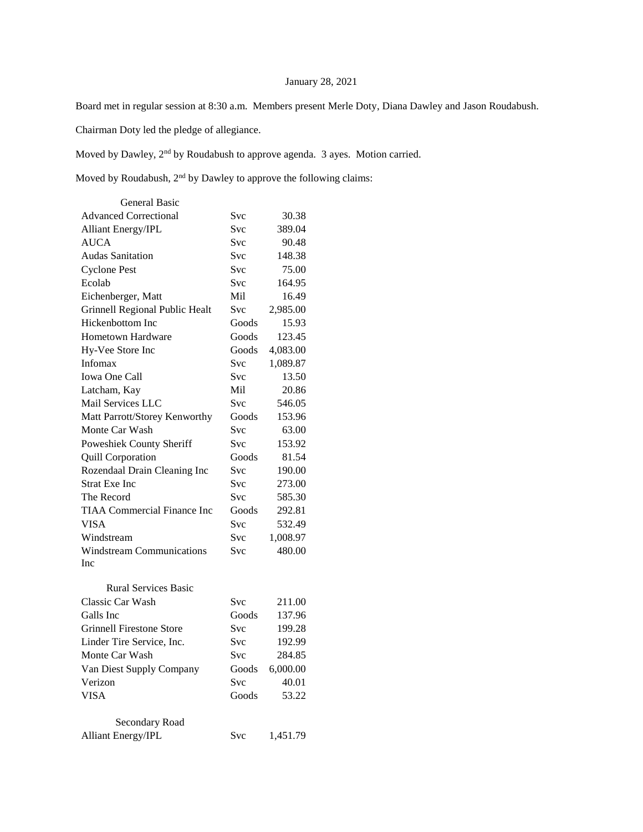## January 28, 2021

Board met in regular session at 8:30 a.m. Members present Merle Doty, Diana Dawley and Jason Roudabush.

Chairman Doty led the pledge of allegiance.

Moved by Dawley, 2nd by Roudabush to approve agenda. 3 ayes. Motion carried.

Moved by Roudabush, 2<sup>nd</sup> by Dawley to approve the following claims:

| <b>General Basic</b>               |            |          |
|------------------------------------|------------|----------|
| <b>Advanced Correctional</b>       | Svc        | 30.38    |
| <b>Alliant Energy/IPL</b>          | Svc        | 389.04   |
| <b>AUCA</b>                        | Svc        | 90.48    |
| <b>Audas Sanitation</b>            | Svc        | 148.38   |
| <b>Cyclone Pest</b>                | Svc        | 75.00    |
| Ecolab                             | Svc        | 164.95   |
| Eichenberger, Matt                 | Mil        | 16.49    |
| Grinnell Regional Public Healt     | Svc        | 2,985.00 |
| Hickenbottom Inc                   | Goods      | 15.93    |
| <b>Hometown Hardware</b>           | Goods      | 123.45   |
| Hy-Vee Store Inc                   | Goods      | 4,083.00 |
| Infomax                            | Svc        | 1,089.87 |
| <b>Iowa One Call</b>               | Svc        | 13.50    |
| Latcham, Kay                       | Mil        | 20.86    |
| Mail Services LLC                  | Svc        | 546.05   |
| Matt Parrott/Storey Kenworthy      | Goods      | 153.96   |
| Monte Car Wash                     | Svc        | 63.00    |
| Poweshiek County Sheriff           | Svc        | 153.92   |
| Quill Corporation                  | Goods      | 81.54    |
| Rozendaal Drain Cleaning Inc       | Svc        | 190.00   |
| <b>Strat Exe Inc</b>               | Svc        | 273.00   |
| The Record                         | Svc        | 585.30   |
| <b>TIAA Commercial Finance Inc</b> | Goods      | 292.81   |
| <b>VISA</b>                        | Svc        | 532.49   |
| Windstream                         | Svc        | 1,008.97 |
| <b>Windstream Communications</b>   | Svc        | 480.00   |
| Inc                                |            |          |
| <b>Rural Services Basic</b>        |            |          |
| Classic Car Wash                   | Svc        | 211.00   |
| Galls Inc                          | Goods      | 137.96   |
| <b>Grinnell Firestone Store</b>    | Svc        | 199.28   |
| Linder Tire Service, Inc.          | Svc        | 192.99   |
| Monte Car Wash                     | <b>Svc</b> | 284.85   |
| Van Diest Supply Company           | Goods      | 6,000.00 |
| Verizon                            | Svc        | 40.01    |
| <b>VISA</b>                        | Goods      | 53.22    |
|                                    |            |          |
| Secondary Road                     |            |          |
| Alliant Energy/IPL                 | Svc        | 1,451.79 |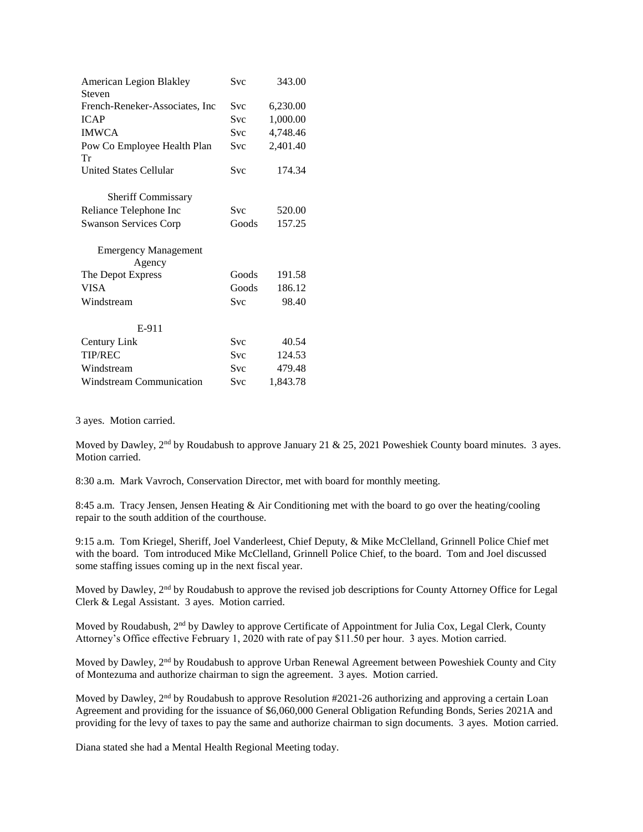| <b>American Legion Blakley</b>    | Svc        | 343.00   |
|-----------------------------------|------------|----------|
| Steven                            | Svc        |          |
| French-Reneker-Associates, Inc.   |            | 6,230.00 |
| <b>ICAP</b>                       | <b>Svc</b> | 1,000.00 |
| <b>IMWCA</b>                      | <b>Svc</b> | 4,748.46 |
| Pow Co Employee Health Plan<br>Tr | <b>Svc</b> | 2,401.40 |
| United States Cellular            | Svc        | 174.34   |
| Sheriff Commissary                |            |          |
| Reliance Telephone Inc            | <b>Svc</b> | 520.00   |
| <b>Swanson Services Corp</b>      | Goods      | 157.25   |
| <b>Emergency Management</b>       |            |          |
| Agency                            |            |          |
| The Depot Express                 | Goods      | 191.58   |
| <b>VISA</b>                       | Goods      | 186.12   |
| Windstream                        | Svc        | 98.40    |
| E-911                             |            |          |
| Century Link                      | <b>Svc</b> | 40.54    |
| <b>TIP/REC</b>                    | Svc.       | 124.53   |
| Windstream                        | <b>Svc</b> | 479.48   |
| Windstream Communication          | Svc        | 1,843.78 |

3 ayes. Motion carried.

Moved by Dawley, 2<sup>nd</sup> by Roudabush to approve January 21 & 25, 2021 Poweshiek County board minutes. 3 ayes. Motion carried.

8:30 a.m. Mark Vavroch, Conservation Director, met with board for monthly meeting.

8:45 a.m. Tracy Jensen, Jensen Heating & Air Conditioning met with the board to go over the heating/cooling repair to the south addition of the courthouse.

9:15 a.m. Tom Kriegel, Sheriff, Joel Vanderleest, Chief Deputy, & Mike McClelland, Grinnell Police Chief met with the board. Tom introduced Mike McClelland, Grinnell Police Chief, to the board. Tom and Joel discussed some staffing issues coming up in the next fiscal year.

Moved by Dawley, 2<sup>nd</sup> by Roudabush to approve the revised job descriptions for County Attorney Office for Legal Clerk & Legal Assistant. 3 ayes. Motion carried.

Moved by Roudabush, 2<sup>nd</sup> by Dawley to approve Certificate of Appointment for Julia Cox, Legal Clerk, County Attorney's Office effective February 1, 2020 with rate of pay \$11.50 per hour. 3 ayes. Motion carried.

Moved by Dawley, 2<sup>nd</sup> by Roudabush to approve Urban Renewal Agreement between Poweshiek County and City of Montezuma and authorize chairman to sign the agreement. 3 ayes. Motion carried.

Moved by Dawley,  $2<sup>nd</sup>$  by Roudabush to approve Resolution #2021-26 authorizing and approving a certain Loan Agreement and providing for the issuance of \$6,060,000 General Obligation Refunding Bonds, Series 2021A and providing for the levy of taxes to pay the same and authorize chairman to sign documents. 3 ayes. Motion carried.

Diana stated she had a Mental Health Regional Meeting today.